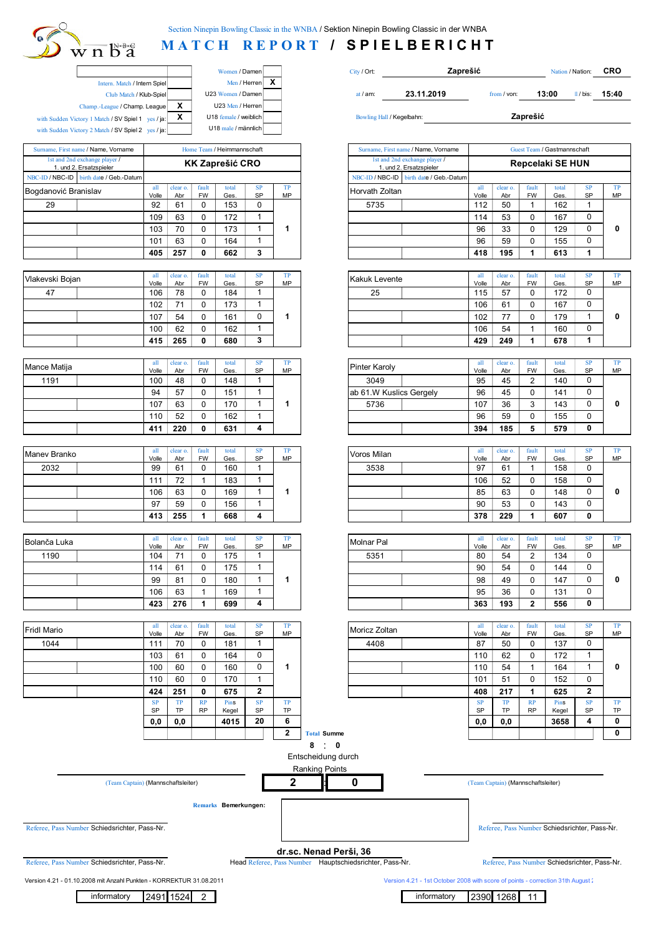

## **MATCH REPORT / SPIELBERICHT**

|                                     |   | Women / Damen         |   |
|-------------------------------------|---|-----------------------|---|
| Intern. Match / Intern Spiel        |   | Men / Herren          | X |
| Club Match / Klub-Spiel             |   | U23 Women / Damen     |   |
| Champ.-League / Champ. League       | x | U23 Men / Herren      |   |
| tory 1 Match / SV Spiel 1 yes / ja: | х | U18 female / weiblich |   |
| tory 2 Match / SV Spiel 2 yes / ja: |   | U18 male / männlich   |   |

|                      | with Sudden Victory 1 Match / SV Spiel 1 yes / ja:<br>with Sudden Victory 2 Match / SV Spiel 2 yes / ja: |              |                 |                    | U18 female / weiblich<br>U18 male / männlich |                 |          | Bowling Hall / Kegelbahn: |                                                          |                                              |                 | Zaprešić            |               |
|----------------------|----------------------------------------------------------------------------------------------------------|--------------|-----------------|--------------------|----------------------------------------------|-----------------|----------|---------------------------|----------------------------------------------------------|----------------------------------------------|-----------------|---------------------|---------------|
|                      | Surname, First name / Name, Vorname                                                                      |              |                 |                    | Home Team / Heimmannschaft                   |                 |          |                           | Surname, First name / Name, Vorname                      |                                              |                 | Guest Team / Gastma |               |
|                      | 1st and 2nd exchange player /<br>1. und 2. Ersatzspieler                                                 |              |                 |                    | <b>KK Zaprešić CRO</b>                       |                 |          |                           | 1st and 2nd exchange player /<br>1. und 2. Ersatzspieler |                                              |                 | Repcelaki SE        |               |
|                      | NBC-ID / NBC-ID birth date / Geb.-Datum                                                                  |              |                 |                    |                                              |                 |          |                           | NBC-ID / NBC-ID birth date / Geb.-Datum                  |                                              |                 |                     |               |
| Bogdanović Branislav |                                                                                                          | all<br>Volle | clear o.<br>Abr | fault<br><b>FW</b> | total<br>Ges.                                | <b>SP</b><br>SP | TP<br>MP | Horvath Zoltan            |                                                          | Volle                                        | clear o.<br>Abr | fault<br><b>FW</b>  | total<br>Ges. |
| 29                   |                                                                                                          | 92           | 61              |                    | 153                                          | 0               |          | 5735                      |                                                          | 112                                          | 50              |                     | 162           |
|                      |                                                                                                          | $\sqrt{2}$   | $\sim$          |                    | 170                                          |                 |          |                           |                                                          | $\overline{A}$ $\overline{A}$ $\overline{A}$ | $\sim$          | $\sim$              | 107           |

|  | 405 | 257 | 662 |  |
|--|-----|-----|-----|--|
|  | 101 | 63  | 164 |  |
|  | 103 |     | 173 |  |
|  | 109 | 63  | 172 |  |

| Vlakevski Bojan | all   | clear o. | fault     | total | <b>SP</b> | TP | Kakuk Levente | all   | clear o. | fault       | total |
|-----------------|-------|----------|-----------|-------|-----------|----|---------------|-------|----------|-------------|-------|
|                 | Volle | Abr      | <b>FW</b> | Ges.  | <b>SP</b> | MP |               | Volle | Abr      | <b>FW</b>   | Ges.  |
| 47              | 106   | 78       |           | 184   |           |    | 25            | 115   | 57       | ັ           | 172   |
|                 | 102   | 74       |           | 173   |           |    |               | 106   | 61       | $\sim$<br>ັ | 167   |
|                 | 107   | 54       |           | 161   | u         |    |               | 102   | 77       | ັ           | 179   |
|                 | 100   | 62       |           | 162   |           |    |               | 106   | 54       |             | 160   |
|                 | 415   | 265      |           | 680   | ໍາ<br>٠J  |    |               | 429   | 249      |             | 678   |

| Mance Matija | all   | clear o. | fault     | total | <b>SP</b> | TP | Pinter Karoly           | all   | clear o. | fault       | total |
|--------------|-------|----------|-----------|-------|-----------|----|-------------------------|-------|----------|-------------|-------|
|              | Volle | Abr      | <b>FW</b> | Ges.  | SP        | MP |                         | Volle | Abr      | <b>FW</b>   | Ges.  |
| 1191         | 100   | 48       |           | 148   |           |    | 3049                    | 95    | 45       | $\sim$<br>- | 140   |
|              | 94    | 57       |           | 151   |           |    | ab 61.W Kuslics Gergely | 96    | 45       | $\sim$<br>U | 141   |
|              | 107   | 63       |           | 170   |           |    | 5736                    | 107   | 36       | ົ<br>ບ      | 143   |
|              | 110   | 52       |           | 162   |           |    |                         | 96    | 59       | $\sim$<br>v | 155   |
|              | 411   | 220      | 0         | 631   | 4         |    |                         | 394   | 185      | b           | 579   |

| Maney Branko | all   | clear o. | fault     | total | <b>SP</b> | <b>TP</b> | Voros Milan | all   | clear o. | fault       | total |
|--------------|-------|----------|-----------|-------|-----------|-----------|-------------|-------|----------|-------------|-------|
|              | Volle | Abr      | <b>FW</b> | Ges.  | <b>SP</b> | MP        |             | Volle | Abr      | <b>FW</b>   | Ges.  |
| 2032         | 99    | 61       |           | 160   |           |           | 3538        | 97    | 61       |             | 158   |
|              | 111   | 72       |           | 183   |           |           |             | 106   | 52       | $\sim$<br>ັ | 158   |
|              | 106   | 63       |           | 169   |           |           |             | 85    | 63       | ⌒<br>ັ      | 148   |
|              | 97    | 59       |           | 156   |           |           |             | 90    | 53       | ັ           | 143   |
|              | 413   | 255      |           | 668   | 4         |           |             | 378   | 229      |             | 607   |

| all<br>fault<br><b>SP</b><br>total<br>clear o.<br>Bolanča Luka |       |     | TP        | Molnar Pal | all       | clear o. | fault | total |     |                    |      |
|----------------------------------------------------------------|-------|-----|-----------|------------|-----------|----------|-------|-------|-----|--------------------|------|
|                                                                | Volle | Abr | <b>FW</b> | Ges.       | <b>SP</b> | MP       |       | Volle | Abr | <b>FW</b>          | Ges. |
| 1190                                                           | 104   | 74  |           | 175        |           |          | 5351  | 80    | 54  | $\sim$<br><u>_</u> | 134  |
|                                                                | 114   | 61  |           | 175        |           |          |       | 90    | 54  | C<br>ັ             | 144  |
|                                                                | 99    | 81  |           | 180        |           |          |       | 98    | 49  | ∩<br>ັ             | 147  |
|                                                                | 106   | 63  |           | 169        |           |          |       | 95    | 36  | $\sim$<br>v        | 131  |
|                                                                | 423   | 276 |           | 699        | 4         |          |       | 363   | 193 | $\mathbf{\Omega}$  | 556  |

| <b>Fridl Mario</b> | all       | clear o. | fault     | total | <b>SP</b> | TP        | Moricz Zoltan | all       | clear o.  | fault     | total |
|--------------------|-----------|----------|-----------|-------|-----------|-----------|---------------|-----------|-----------|-----------|-------|
|                    | Volle     | Abr      | <b>FW</b> | Ges.  | <b>SP</b> | MP        |               | Volle     | Abr       | <b>FW</b> | Ges.  |
| 1044               | 111       | 70       |           | 181   |           |           | 4408          | 87        | 50        | 0         | 137   |
|                    | 103       | 61       |           | 164   | 0         |           |               | 110       | 62        | 0         | 172   |
|                    | 100       | 60       |           | 160   |           |           |               | 110       | 54        |           | 164   |
|                    | 110       | 60       |           | 170   |           |           |               | 101       | 51        | 0         | 152   |
|                    | 424       | 251      | 0         | 675   | 2         |           |               | 408       | 217       |           | 625   |
|                    | <b>SP</b> | TP       | RP        | Pins  | <b>SP</b> | <b>TP</b> |               | <b>SP</b> | TP        | RP        | Pins  |
|                    | SP        | TP       | <b>RP</b> | Kegel | <b>SP</b> | <b>TP</b> |               | SP        | <b>TP</b> | <b>RP</b> | Kege  |
|                    | 0.0       | 0.0      |           | 4015  | 20        | 6         |               | 0.0       | 0.0       |           | 3658  |

| D a                                  |              |                       |             |                           |             |          |                  |       |  |
|--------------------------------------|--------------|-----------------------|-------------|---------------------------|-------------|----------|------------------|-------|--|
|                                      |              | Women / Damen         | City / Ort: |                           | Zaprešić    |          | Nation / Nation: | CRO   |  |
| ern. Match / Intern Spiel            |              | Men / Herren          |             |                           |             |          |                  |       |  |
| Club Match / Klub-Spiel              |              | U23 Women / Damen     | at $/$ am:  | 23.11.2019                | from / von: | 13:00    | / bis:           | 15:40 |  |
| eague / Champ. League                | $\checkmark$ | U23 Men / Herren      |             |                           |             |          |                  |       |  |
| $\frac{h}{B}$ / SV Spiel 1 yes / ja: | X            | U18 female / weiblich |             | Bowling Hall / Kegelbahn: |             | Zaprešić |                  |       |  |
|                                      |              |                       |             |                           |             |          |                  |       |  |

| Surname, First name / Name, Vorname                      |                        |                  |                     | Home Team / Heimmannschaft |                                           |                 | Surname, First name / Name, Vorname                      |                       |                  |                         | Guest Team / Gastmannschaft |                                  |           |
|----------------------------------------------------------|------------------------|------------------|---------------------|----------------------------|-------------------------------------------|-----------------|----------------------------------------------------------|-----------------------|------------------|-------------------------|-----------------------------|----------------------------------|-----------|
| 1st and 2nd exchange player /<br>1. und 2. Ersatzspieler |                        |                  |                     | <b>KK Zaprešić CRO</b>     |                                           |                 | 1st and 2nd exchange player /<br>1. und 2. Ersatzspieler |                       |                  |                         | <b>Repcelaki SE HUN</b>     |                                  |           |
| <b>BC-ID / NBC-ID</b><br>birth date / Geb.-Datum         |                        |                  |                     |                            |                                           |                 | NBC-ID / NBC-ID   birth date / Geb.-Datum                |                       |                  |                         |                             |                                  |           |
| gdanović Branislav                                       | $\mathbf{all}$         | clear o.         | fault<br><b>FW</b>  | total                      | SP<br>SP                                  | TP<br><b>MP</b> | Horvath Zoltan                                           | all<br>Volle          | clear o.         | fault<br>FW             | total                       | SP<br>SP                         | TP<br>MP  |
| 29                                                       | Volle<br>92            | Abr<br>61        | 0                   | Ges.<br>153                | $\pmb{0}$                                 |                 | 5735                                                     | 112                   | Abr<br>50        | $\mathbf{1}$            | Ges.<br>162                 | 1                                |           |
|                                                          | 109                    | 63               | 0                   | 172                        | $\mathbf{1}$                              |                 |                                                          | 114                   | 53               | 0                       | 167                         | 0                                |           |
|                                                          | 103                    | 70               | 0                   | 173                        | $\mathbf{1}$                              | 1               |                                                          | 96                    | 33               | 0                       | 129                         | 0                                | 0         |
|                                                          | 101                    | 63               | $\mathbf 0$         | 164                        | $\mathbf{1}$                              |                 |                                                          | 96                    | 59               | 0                       | 155                         | $\mathbf 0$                      |           |
|                                                          | 405                    | 257              | 0                   | 662                        | 3                                         |                 |                                                          | 418                   | 195              | $\mathbf{1}$            | 613                         | 1                                |           |
|                                                          |                        |                  |                     |                            |                                           |                 |                                                          |                       |                  |                         |                             |                                  |           |
| akevski Bojan                                            | all                    | clear o.         | fault               | total                      | SP                                        | TP              | Kakuk Levente                                            | all                   | clear o.         | fault                   | total                       | SP                               | TP        |
|                                                          | Volle                  | Abr              | <b>FW</b>           | Ges.                       | SP                                        | MP              |                                                          | Volle                 | Abr              | FW                      | Ges.                        | SP                               | MP        |
| 47                                                       | 106                    | 78               | $\mathbf 0$         | 184                        | $\mathbf{1}$                              |                 | 25                                                       | 115                   | 57               | 0                       | 172                         | 0                                |           |
|                                                          | 102                    | 71               | $\mathbf 0$         | 173                        | $\mathbf{1}$                              |                 |                                                          | 106                   | 61               | 0                       | 167                         | 0                                |           |
|                                                          | 107                    | 54               | $\mathbf 0$         | 161                        | $\pmb{0}$                                 | 1               |                                                          | 102                   | 77               | 0                       | 179                         | $\mathbf{1}$                     | 0         |
|                                                          | 100                    | 62               | $\mathbf 0$         | 162                        | $\mathbf{1}$                              |                 |                                                          | 106                   | 54               | $\mathbf{1}$            | 160                         | $\mathbf 0$                      |           |
|                                                          | 415                    | 265              | 0                   | 680                        | $\overline{\mathbf{3}}$                   |                 |                                                          | 429                   | 249              | $\mathbf{1}$            | 678                         | 1                                |           |
|                                                          |                        |                  |                     |                            |                                           |                 |                                                          |                       |                  |                         |                             |                                  |           |
| มnce Matija                                              | all<br>Volle           | clear o.<br>Abr  | fault<br><b>FW</b>  | total<br>Ges.              | <b>SP</b><br>SP                           | TP<br>MP        | Pinter Karoly                                            | all<br>Volle          | clear o.<br>Abr  | fault<br>FW             | total<br>Ges.               | SP<br>SP                         | TP<br>MP  |
| 1191                                                     | 100                    | 48               | $\mathbf 0$         | 148                        | $\mathbf{1}$                              |                 | 3049                                                     | 95                    | 45               | $\overline{2}$          | 140                         | 0                                |           |
|                                                          | 94                     | 57               | 0                   | 151                        | $\mathbf{1}$                              |                 | ab 61.W Kuslics Gergely                                  | 96                    | 45               | 0                       | 141                         | 0                                |           |
|                                                          | 107                    | 63               | 0                   | 170                        | $\mathbf{1}$                              | 1               | 5736                                                     | 107                   | 36               | 3                       | 143                         | $\mathbf 0$                      | 0         |
|                                                          | 110                    | 52               | $\overline{0}$      | 162                        | $\mathbf{1}$                              |                 |                                                          | 96                    | 59               | 0                       | 155                         | $\mathbf 0$                      |           |
|                                                          | 411                    | 220              | 0                   | 631                        | 4                                         |                 |                                                          | 394                   | 185              | 5                       | 579                         | $\mathbf{0}$                     |           |
|                                                          |                        |                  |                     |                            |                                           |                 |                                                          |                       |                  |                         |                             |                                  |           |
|                                                          | $\mathbf{all}$         | clear o.         | fault               | total                      | SP                                        | $_{\rm TP}$     | Voros Milan                                              | all                   | clear o.         | fault                   | total                       | SP                               | TP        |
| anev Branko                                              | Volle                  | Abr              | <b>FW</b>           | Ges.                       | SP                                        | <b>MP</b>       |                                                          | Volle                 | Abr              | <b>FW</b>               | Ges.                        | <b>SP</b>                        | <b>MP</b> |
| 2032                                                     | 99                     | 61               | 0                   | 160                        | $\mathbf{1}$                              |                 | 3538                                                     | 97                    | 61               | $\mathbf{1}$            | 158                         | 0                                |           |
|                                                          | 111                    | 72               | $\mathbf{1}$        | 183                        | $\mathbf{1}$                              |                 |                                                          | 106                   | 52               | 0                       | 158                         | $\mathbf 0$                      |           |
|                                                          | 106                    | 63               | 0                   | 169                        | $\mathbf{1}$                              | 1               |                                                          | 85                    | 63               | 0                       | 148                         | $\mathbf 0$                      | 0         |
|                                                          | 97                     | 59               | 0                   | 156                        | $\mathbf{1}$                              |                 |                                                          | 90                    | 53               | 0                       | 143                         | $\mathbf 0$                      |           |
|                                                          | 413                    | 255              | 1                   | 668                        | 4                                         |                 |                                                          | 378                   | 229              | $\mathbf{1}$            | 607                         | 0                                |           |
|                                                          |                        |                  |                     |                            |                                           |                 |                                                          |                       |                  |                         |                             |                                  |           |
| lanča Luka                                               | all<br>Volle           | clear o.<br>Abr  | fault<br><b>FW</b>  | total<br>Ges.              | <b>SP</b><br>SP                           | TP<br>MP        | Molnar Pal                                               | all<br>Volle          | clear o.<br>Abr  | fault<br>FW             | total<br>Ges.               | SP<br>SP                         | TP<br>MP  |
| 1190                                                     | 104                    | 71               | $\mathbf 0$         | 175                        | $\mathbf{1}$                              |                 | 5351                                                     | 80                    | 54               | $\overline{2}$          | 134                         | 0                                |           |
|                                                          | 114                    | 61               | 0                   | 175                        | $\mathbf{1}$                              |                 |                                                          | 90                    | 54               | 0                       | 144                         | $\mathbf 0$                      |           |
|                                                          | 99                     | 81               | 0                   | 180                        | $\mathbf{1}$                              | 1               |                                                          | 98                    | 49               | 0                       | 147                         | $\mathbf 0$                      | 0         |
|                                                          | 106                    | 63               | $\mathbf{1}$        | 169                        | $\mathbf{1}$                              |                 |                                                          | 95                    | 36               | 0                       | 131                         | 0                                |           |
|                                                          | 423                    | 276              | 1                   | 699                        | 4                                         |                 |                                                          | 363                   | 193              | $\overline{\mathbf{2}}$ | 556                         | 0                                |           |
|                                                          |                        |                  |                     |                            |                                           |                 |                                                          |                       |                  |                         |                             |                                  |           |
| dl Mario                                                 | $\mathbf{all}$         | clear o.         | fault               | total                      | ${\bf SP}$                                | $_{\rm TP}$     | Moricz Zoltan                                            | all                   | clear o.         | fault                   | total                       | ${\bf SP}$                       | TP        |
|                                                          | Volle                  | Abr              | <b>FW</b>           | Ges.                       | SP<br>$\mathbf{1}$                        | MP              |                                                          | Volle                 | Abr              | FW                      | Ges.                        | SP<br>0                          | MP        |
| 1044                                                     | 111                    | 70               | $\mathbf 0$         | 181                        |                                           |                 | 4408                                                     | 87                    | 50               | 0                       | 137                         |                                  |           |
|                                                          | 103                    | 61               | 0                   | 164                        | 0<br>$\mathbf 0$                          |                 |                                                          | 110                   | 62               | 0                       | 172                         | $\mathbf{1}$<br>$\mathbf{1}$     |           |
|                                                          | 100                    | 60               | 0                   | 160                        |                                           | 1               |                                                          | 110                   | 54               | $\mathbf{1}$            | 164                         |                                  | 0         |
|                                                          | 110                    | 60               | $\mathbf 0$         | 170                        | $\mathbf{1}$                              |                 |                                                          | 101                   | 51               | 0                       | 152                         | 0                                |           |
|                                                          | 424<br>$\overline{SP}$ | 251<br><b>TP</b> | 0<br>$\overline{R}$ | 675<br><b>Pine</b>         | $\overline{\mathbf{2}}$<br>$\overline{P}$ | <b>TP</b>       |                                                          | 408<br>$\overline{S}$ | 217<br><b>TP</b> | 1<br>$\overline{R}$     | 625<br><b>Pine</b>          | $\overline{2}$<br>$\overline{P}$ | <b>TP</b> |
|                                                          |                        |                  |                     |                            |                                           |                 |                                                          |                       |                  |                         |                             |                                  |           |

**0,0 0,0 4015 0,0 0,0 3658 Total** Summer **Contains a Summer Summer Summer Summer Summer Summer Summer Summer Summer Summer Summer Summer Summer Summer Summer Summer Summer Summer Summer Summer Summer Summer Summer Summer Summer Summer Summer Summer 20 4**

(Team Captain) (Mannschaftsleiter) : (Team Captain) (Mannschaftsleiter)

Pins Kegel

**SP** SP

TP

**0**

**0**

**Remarks Bemerkungen:**

Referee, Pass Number Schiedsrichter, Pass-Nr. Referee, Pass Number Schiedsrichter, Pass-Nr. Referee, Pass Number Schiedsrichter, Pass-Nr.

Version 4.21 - 1st October 2008 with score of points - correction 31th August 2

**dr.sc. Nenad Perši, 36**

**8** : **0**

Entscheidung durch

**2 0**

Ranking Points

**2**

Referee, Pass Number Schiedsrichter, Pass-Nr. Head Referee, Pass Number Hauptschiedsrichter, Pass-Nr. Referee, Pass Number Schiedsrichter, Pass-Nr.

Version 4.21 - 01.10.2008 mit Anzahl Punkten - KORREKTUR 31.08.2011

informatory  $2491$  1524 2

informatory 2390 1268 11

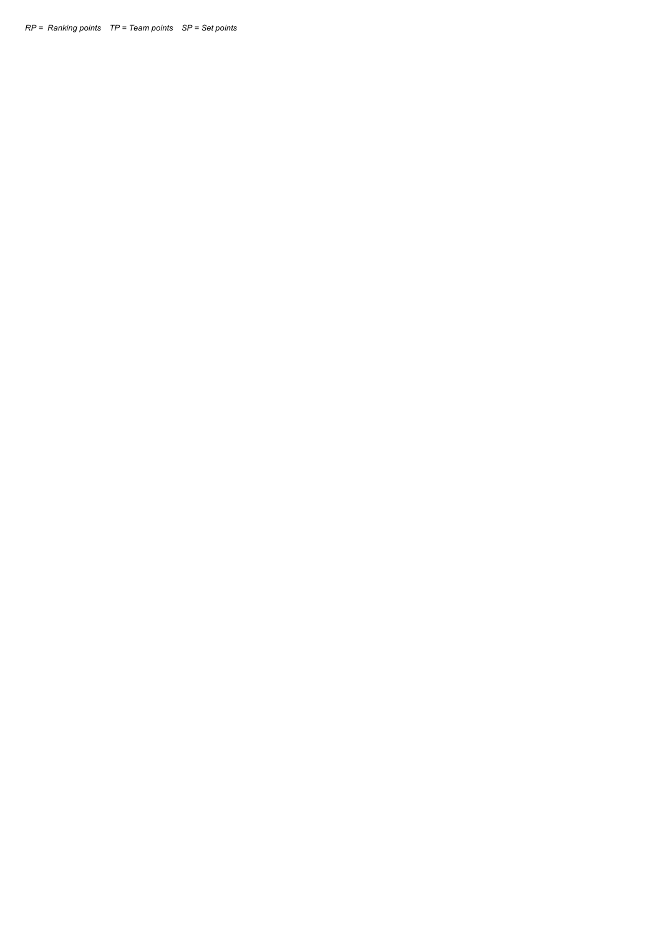*RP = Ranking points TP = Team points SP = Set points*